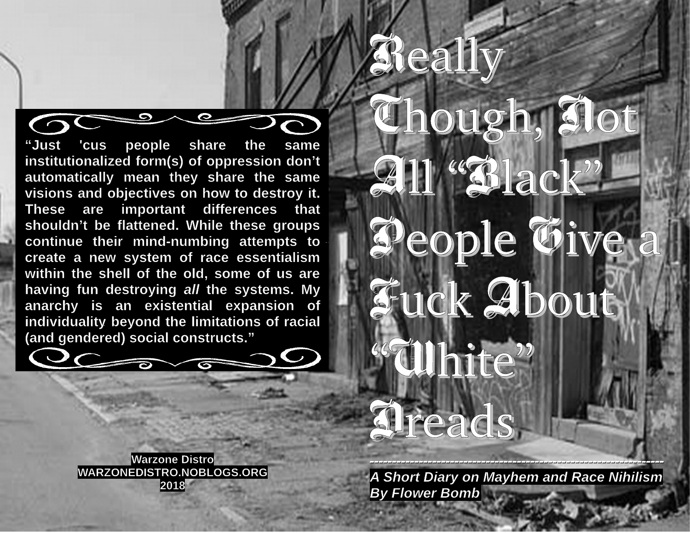"Just 'cus people share the same institutionalized form(s) of oppression don't automatically mean they share the same visions and objectives on how to destroy it. differences that **These** are important shouldn't be flattened. While these groups continue their mind-numbing attempts to create a new system of race essentialism within the shell of the old, some of us are having fun destroying all the systems. My anarchy is an existential expansion of individuality beyond the limitations of racial (and gendered) social constructs."



**Warzone Distro WARZONEDISTRO.NOBLOGS.ORG** 2018

neall Chough, Jlot **GIII "Silack"** Deople Give a Fuck About Tilhite" **a**freads

A Short Diary on Mayhem and Race Nihilism **By Flower Bomb**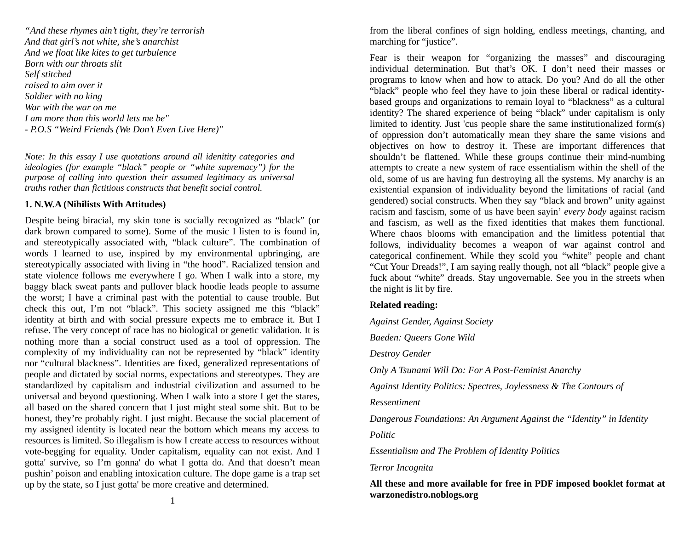*"And these rhymes ain't tight, they're terrorish And that girl's not white, she's anarchist And we float like kites to get turbulence Born with our throats slit Self stitched raised to aim over it Soldier with no king War with the war on me I am more than this world lets me be" - P.O.S "Weird Friends (We Don't Even Live Here)"*

*Note: In this essay I use quotations around all idenitity categories and ideologies (for example "black" people or "white supremacy") for the purpose of calling into question their assumed legitimacy as universal truths rather than fictitious constructs that benefit social control.*

## **1. N.W.A (Nihilists With Attitudes)**

Despite being biracial, my skin tone is socially recognized as "black" (or dark brown compared to some). Some of the music I listen to is found in, and stereotypically associated with, "black culture". The combination of words I learned to use, inspired by my environmental upbringing, are stereotypically associated with living in "the hood". Racialized tension and state violence follows me everywhere I go. When I walk into a store, my baggy black sweat pants and pullover black hoodie leads people to assume the worst; I have a criminal past with the potential to cause trouble. But check this out, I'm not "black". This society assigned me this "black" identity at birth and with social pressure expects me to embrace it. But I refuse. The very concept of race has no biological or genetic validation. It is nothing more than a social construct used as a tool of oppression. The complexity of my individuality can not be represented by "black" identity nor "cultural blackness". Identities are fixed, generalized representations of people and dictated by social norms, expectations and stereotypes. They are standardized by capitalism and industrial civilization and assumed to be universal and beyond questioning. When I walk into a store I get the stares, all based on the shared concern that I just might steal some shit. But to be honest, they're probably right. I just might. Because the social placement of my assigned identity is located near the bottom which means my access to resources is limited. So illegalism is how I create access to resources without vote-begging for equality. Under capitalism, equality can not exist. And I gotta' survive, so I'm gonna' do what I gotta do. And that doesn't mean pushin' poison and enabling intoxication culture. The dope game is a trap set up by the state, so I just gotta' be more creative and determined.

from the liberal confines of sign holding, endless meetings, chanting, and marching for "justice".

Fear is their weapon for "organizing the masses" and discouraging individual determination. But that's OK. I don't need their masses or programs to know when and how to attack. Do you? And do all the other "black" people who feel they have to join these liberal or radical identitybased groups and organizations to remain loyal to "blackness" as a cultural identity? The shared experience of being "black" under capitalism is only limited to identity. Just 'cus people share the same institutionalized form(s) of oppression don't automatically mean they share the same visions and objectives on how to destroy it. These are important differences that shouldn't be flattened. While these groups continue their mind-numbing attempts to create a new system of race essentialism within the shell of the old, some of us are having fun destroying all the systems. My anarchy is an existential expansion of individuality beyond the limitations of racial (and gendered) social constructs. When they say "black and brown" unity against racism and fascism, some of us have been sayin' *every body* against racism and fascism, as well as the fixed identities that makes them functional. Where chaos blooms with emancipation and the limitless potential that follows, individuality becomes a weapon of war against control and categorical confinement. While they scold you "white" people and chant "Cut Your Dreads!", I am saying really though, not all "black" people give a fuck about "white" dreads. Stay ungovernable. See you in the streets when the night is lit by fire.

#### **Related reading:**

*Against Gender, Against Society*

*Baeden: Queers Gone Wild*

*Destroy Gender*

*Only A Tsunami Will Do: For A Post-Feminist Anarchy*

*Against Identity Politics: Spectres, Joylessness & The Contours of*

*Ressentiment*

*Dangerous Foundations: An Argument Against the "Identity" in Identity*

*Politic*

*Essentialism and The Problem of Identity Politics*

*Terror Incognita*

**All these and more available for free in PDF imposed booklet format at warzonedistro.noblogs.org**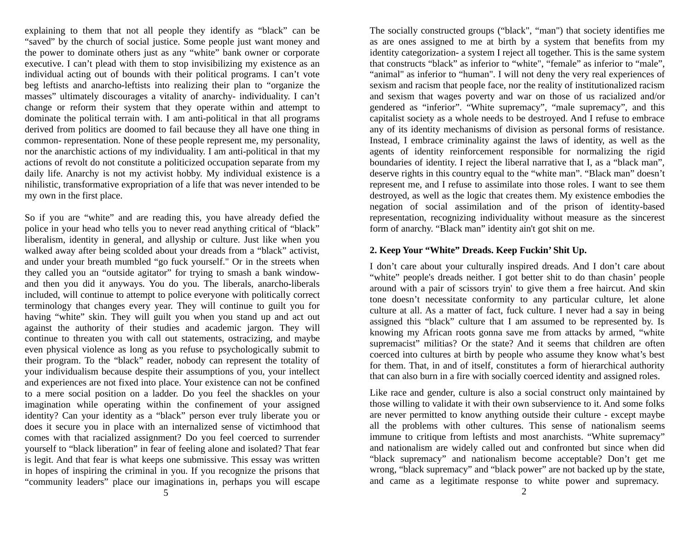explaining to them that not all people they identify as "black" can be "saved" by the church of social justice. Some people just want money and the power to dominate others just as any "white" bank owner or corporate executive. I can't plead with them to stop invisibilizing my existence as an individual acting out of bounds with their political programs. I can't vote beg leftists and anarcho-leftists into realizing their plan to "organize the masses" ultimately discourages a vitality of anarchy- individuality. I can't change or reform their system that they operate within and attempt to dominate the political terrain with. I am anti-political in that all programs derived from politics are doomed to fail because they all have one thing in common- representation. None of these people represent me, my personality, nor the anarchistic actions of my individuality. I am anti-political in that my actions of revolt do not constitute a politicized occupation separate from my daily life. Anarchy is not my activist hobby. My individual existence is a nihilistic, transformative expropriation of a life that was never intended to be my own in the first place.

So if you are "white" and are reading this, you have already defied the police in your head who tells you to never read anything critical of "black" liberalism, identity in general, and allyship or culture. Just like when you walked away after being scolded about your dreads from a "black" activist, and under your breath mumbled "go fuck yourself." Or in the streets when they called you an "outside agitator" for trying to smash a bank windowand then you did it anyways. You do you. The liberals, anarcho-liberals included, will continue to attempt to police everyone with politically correct terminology that changes every year. They will continue to guilt you for having "white" skin. They will guilt you when you stand up and act out against the authority of their studies and academic jargon. They will continue to threaten you with call out statements, ostracizing, and maybe even physical violence as long as you refuse to psychologically submit to their program. To the "black" reader, nobody can represent the totality of your individualism because despite their assumptions of you, your intellect and experiences are not fixed into place. Your existence can not be confined to a mere social position on a ladder. Do you feel the shackles on your imagination while operating within the confinement of your assigned identity? Can your identity as a "black" person ever truly liberate you or does it secure you in place with an internalized sense of victimhood that comes with that racialized assignment? Do you feel coerced to surrender yourself to "black liberation" in fear of feeling alone and isolated? That fear is legit. And that fear is what keeps one submissive. This essay was written in hopes of inspiring the criminal in you. If you recognize the prisons that "community leaders" place our imaginations in, perhaps you will escape The socially constructed groups ("black", "man") that society identifies me as are ones assigned to me at birth by a system that benefits from my identity categorization- a system I reject all together. This is the same system that constructs "black" as inferior to "white", "female" as inferior to "male", "animal" as inferior to "human". I will not deny the very real experiences of sexism and racism that people face, nor the reality of institutionalized racism and sexism that wages poverty and war on those of us racialized and/or gendered as "inferior". "White supremacy", "male supremacy", and this capitalist society as a whole needs to be destroyed. And I refuse to embrace any of its identity mechanisms of division as personal forms of resistance. Instead, I embrace criminality against the laws of identity, as well as the agents of identity reinforcement responsible for normalizing the rigid boundaries of identity. I reject the liberal narrative that I, as a "black man", deserve rights in this country equal to the "white man". "Black man" doesn't represent me, and I refuse to assimilate into those roles. I want to see them destroyed, as well as the logic that creates them. My existence embodies the negation of social assimilation and of the prison of identity-based representation, recognizing individuality without measure as the sincerest form of anarchy. "Black man" identity ain't got shit on me.

#### **2. Keep Your "White" Dreads. Keep Fuckin' Shit Up.**

I don't care about your culturally inspired dreads. And I don't care about "white" people's dreads neither. I got better shit to do than chasin' people around with a pair of scissors tryin' to give them a free haircut. And skin tone doesn't necessitate conformity to any particular culture, let alone culture at all. As a matter of fact, fuck culture. I never had a say in being assigned this "black" culture that I am assumed to be represented by. Is knowing my African roots gonna save me from attacks by armed, "white supremacist" militias? Or the state? And it seems that children are often coerced into cultures at birth by people who assume they know what's best for them. That, in and of itself, constitutes a form of hierarchical authority that can also burn in a fire with socially coerced identity and assigned roles.

Like race and gender, culture is also a social construct only maintained by those willing to validate it with their own subservience to it. And some folks are never permitted to know anything outside their culture - except maybe all the problems with other cultures. This sense of nationalism seems immune to critique from leftists and most anarchists. "White supremacy" and nationalism are widely called out and confronted but since when did "black supremacy" and nationalism become acceptable? Don't get me wrong, "black supremacy" and "black power" are not backed up by the state, and came as a legitimate response to white power and supremacy.